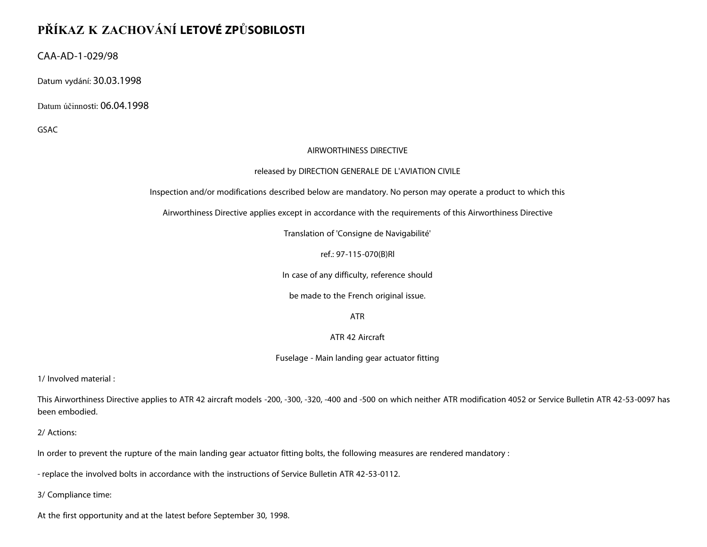## **PŘÍKAZ K ZACHOVÁNÍ LETOVÉ ZPŮSOBILOSTI**

CAA-AD-1-029/98

Datum vydání: 30.03.1998

Datum účinnosti: 06.04.1998

GSAC

## AIRWORTHINESS DIRECTIVE

## released by DIRECTION GENERALE DE L'AVIATION CIVILE

Inspection and/or modifications described below are mandatory. No person may operate a product to which this

Airworthiness Directive applies except in accordance with the requirements of this Airworthiness Directive

Translation of 'Consigne de Navigabilité'

ref.: 97-115-070(B)Rl

In case of any difficulty, reference should

be made to the French original issue.

ATR

ATR 42 Aircraft

Fuselage - Main landing gear actuator fitting

1/ Involved material :

This Airworthiness Directive applies to ATR 42 aircraft models -200, -300, -320, -400 and -500 on which neither ATR modification 4052 or Service Bulletin ATR 42-53-0097 has been embodied.

2/ Actions:

In order to prevent the rupture of the main landing gear actuator fitting bolts, the following measures are rendered mandatory :

- replace the involved bolts in accordance with the instructions of Service Bulletin ATR 42-53-0112.

3/ Compliance time:

At the first opportunity and at the latest before September 30, 1998.